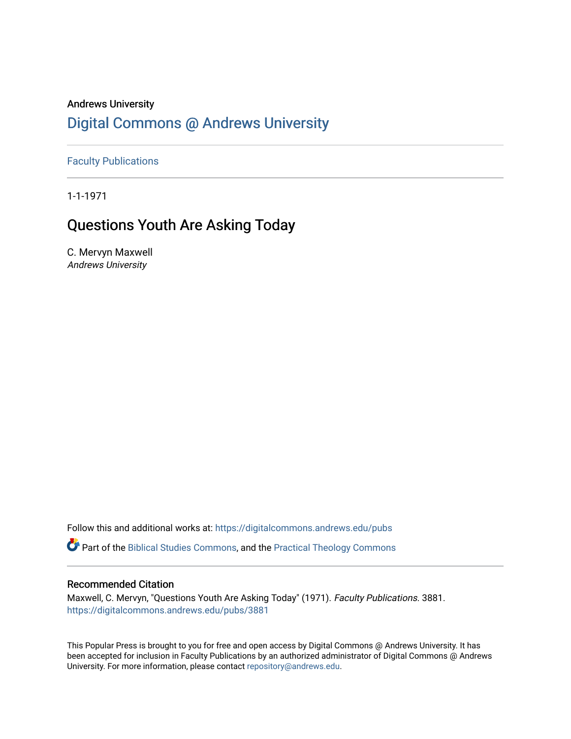# Andrews University [Digital Commons @ Andrews University](https://digitalcommons.andrews.edu/)

[Faculty Publications](https://digitalcommons.andrews.edu/pubs)

1-1-1971

# Questions Youth Are Asking Today

C. Mervyn Maxwell Andrews University

Follow this and additional works at: [https://digitalcommons.andrews.edu/pubs](https://digitalcommons.andrews.edu/pubs?utm_source=digitalcommons.andrews.edu%2Fpubs%2F3881&utm_medium=PDF&utm_campaign=PDFCoverPages) 

Part of the [Biblical Studies Commons,](http://network.bepress.com/hgg/discipline/539?utm_source=digitalcommons.andrews.edu%2Fpubs%2F3881&utm_medium=PDF&utm_campaign=PDFCoverPages) and the [Practical Theology Commons](http://network.bepress.com/hgg/discipline/1186?utm_source=digitalcommons.andrews.edu%2Fpubs%2F3881&utm_medium=PDF&utm_campaign=PDFCoverPages) 

## Recommended Citation

Maxwell, C. Mervyn, "Questions Youth Are Asking Today" (1971). Faculty Publications. 3881. [https://digitalcommons.andrews.edu/pubs/3881](https://digitalcommons.andrews.edu/pubs/3881?utm_source=digitalcommons.andrews.edu%2Fpubs%2F3881&utm_medium=PDF&utm_campaign=PDFCoverPages) 

This Popular Press is brought to you for free and open access by Digital Commons @ Andrews University. It has been accepted for inclusion in Faculty Publications by an authorized administrator of Digital Commons @ Andrews University. For more information, please contact [repository@andrews.edu](mailto:repository@andrews.edu).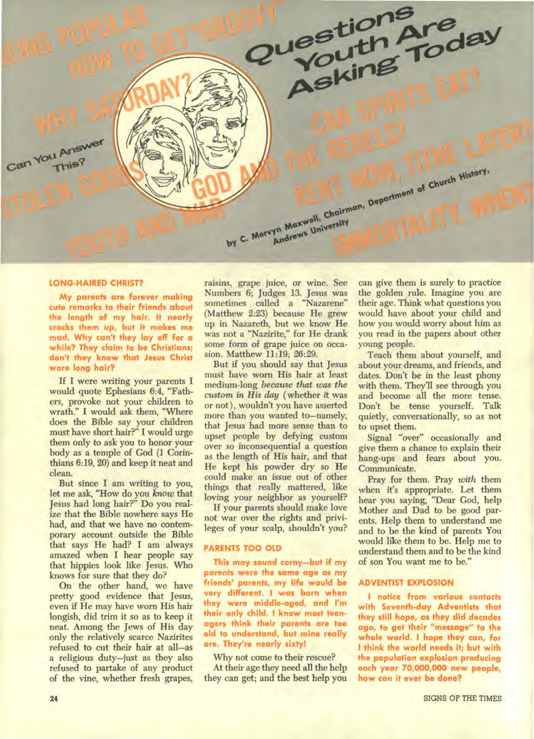

#### **LONG-HAIRED CHRIST?**

My parents are forever making cute remarks to their friends about the length of my hair. It nearly cracks them up, but it makes me mad. Why can't they lay off for a while? They claim to be Christians: don't they know that Jesus Christ wore long hair?

If I were writing your parents I would quote Ephesians 6:4, "Fathers, provoke not your children to wrath." I would ask them, "Where does the Bible say your children must have short hair?" I would urge them only to ask you to honor your body as a temple of God (1 Corinthians 6:19, 20) and keep it neat and clean.

But since I am writing to you, let me ask, "How do you know that Jesus had long hair?" Do you realize that the Bible nowhere says He had, and that we have no contemporary account outside the Bible that says He had? I am always amazed when I hear people say that hippies look like Jesus. Who knows for sure that they do?

On the other hand, we have pretty good evidence that Jesus, even if He may have worn His hair longish, did trim it so as to keep it neat. Among the Jews of His day only the relatively scarce Nazirites refused to cut their hair at all-as a religious duty-just as they also refused to partake of any product of the vine, whether fresh grapes, raisins, grape juice, or wine. See Numbers 6; Judges 13. Jesus was sometimes called a "Nazarene" (Matthew 2:23) because He grew up in Nazareth, but we know He was not a "Nazirite," for He drank some form of grape juice on occasion. Matthew 11:19; 26:29.

But if you should say that Jesus must have worn His hair at least medium-long because that was the custom in His day (whether it was or not), wouldn't you have asserted more than you wanted to-namely, that Jesus had more sense than to upset people by defying custom over so inconsequential a question as the length of His hair, and that He kept his powder dry so He could make an issue out of other things that really mattered, like loving your neighbor as yourself?

If your parents should make love not war over the rights and privileges of your scalp, shouldn't you?

### **PARENTS TOO OLD**

This may sound corny-but if my parents were the same age as my friends' parents, my life would be very different. I was born when they were middle-aged, and I'm their only child. I know most teenagers think their parents are too old to understand, but mine really are. They're nearly sixty!

Why not come to their rescue? At their age they need all the help they can get; and the best help you can give them is surely to practice the golden rule. Imagine you are their age. Think what questions you would have about your child and how you would worry about him as you read in the papers about other young people.

Teach them about yourself, and about your dreams, and friends, and dates. Don't be in the least phony with them. They'll see through you and become all the more tense. Don't be tense yourself. Talk quietly, conversationally, so as not to upset them.

Signal "over" occasionally and give them a chance to explain their hang-ups and fears about you. Communicate.

Pray for them. Pray with them when it's appropriate. Let them hear you saying, "Dear God, help Mother and Dad to be good parents. Help them to understand me and to be the kind of parents You would like them to be. Help me to understand them and to be the kind of son You want me to be."

#### **ADVENTIST EXPLOSION**

I notice from various contacts with Seventh-day Adventists that they still hope, as they did decades ago, to get their "message" to the whole world. I hope they can, for I think the world needs it; but with the population explosion producing each year 70,000,000 new people, how can it ever be done?